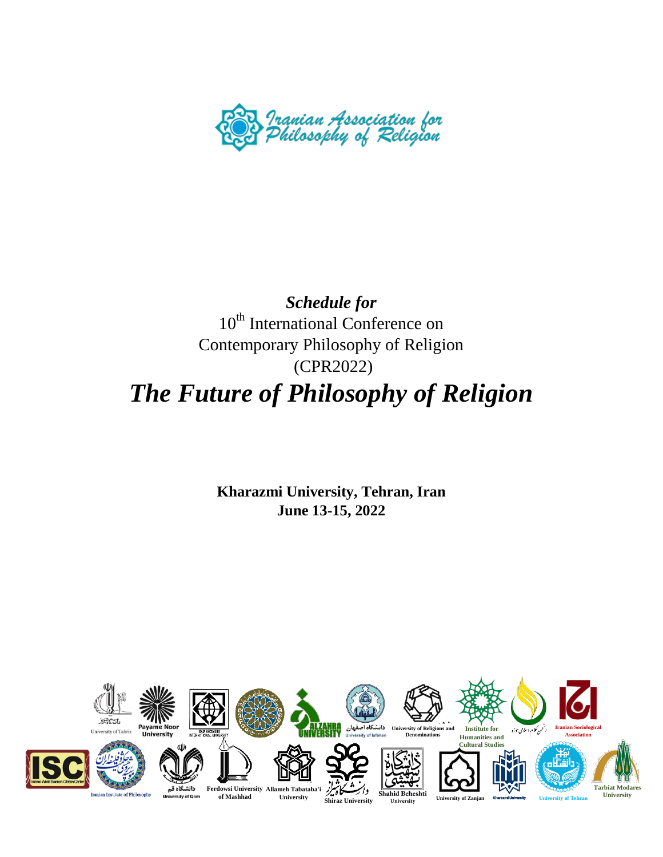

## *Schedule for* 10<sup>th</sup> International Conference on Contemporary Philosophy of Religion (CPR2022) *The Future of Philosophy of Religion*

**Kharazmi University, Tehran, Iran June 13-15, 2022**

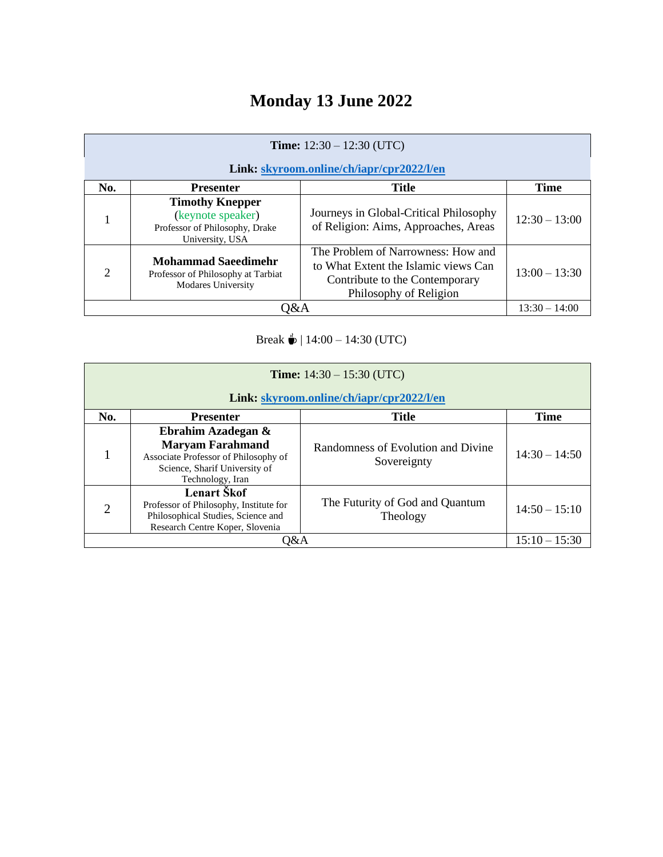# **Monday 13 June 2022**

| <b>Time:</b> $12:30 - 12:30$ (UTC)<br>Link: skyroom.online/ch/iapr/cpr2022/l/en |                                                                                                  |                                                                                                                                        |                 |
|---------------------------------------------------------------------------------|--------------------------------------------------------------------------------------------------|----------------------------------------------------------------------------------------------------------------------------------------|-----------------|
| No.                                                                             | <b>Presenter</b>                                                                                 | <b>Title</b>                                                                                                                           | <b>Time</b>     |
|                                                                                 | <b>Timothy Knepper</b><br>(keynote speaker)<br>Professor of Philosophy, Drake<br>University, USA | Journeys in Global-Critical Philosophy<br>of Religion: Aims, Approaches, Areas                                                         | $12:30 - 13:00$ |
| $\mathcal{D}_{\mathcal{L}}$                                                     | <b>Mohammad Saeedimehr</b><br>Professor of Philosophy at Tarbiat<br><b>Modares University</b>    | The Problem of Narrowness: How and<br>to What Extent the Islamic views Can<br>Contribute to the Contemporary<br>Philosophy of Religion | $13:00 - 13:30$ |
| 0&A                                                                             |                                                                                                  |                                                                                                                                        | $13:30 - 14:00$ |

Break  $\stackrel{?}{\bullet}$  | 14:00 – 14:30 (UTC)

| <b>Time:</b> $14:30 - 15:30$ (UTC)<br>Link: skyroom.online/ch/iapr/cpr2022/l/en |                                                                                                                                            |                                                   |                 |
|---------------------------------------------------------------------------------|--------------------------------------------------------------------------------------------------------------------------------------------|---------------------------------------------------|-----------------|
| No.                                                                             | <b>Presenter</b>                                                                                                                           | <b>Title</b>                                      | <b>Time</b>     |
|                                                                                 | Ebrahim Azadegan &<br><b>Maryam Farahmand</b><br>Associate Professor of Philosophy of<br>Science, Sharif University of<br>Technology, Iran | Randomness of Evolution and Divine<br>Sovereignty | $14:30 - 14:50$ |
| $\overline{2}$                                                                  | Lenart Škof<br>Professor of Philosophy, Institute for<br>Philosophical Studies, Science and<br>Research Centre Koper, Slovenia             | The Futurity of God and Quantum<br>Theology       | $14:50 - 15:10$ |
| 0&A                                                                             |                                                                                                                                            |                                                   | $15:10 - 15:30$ |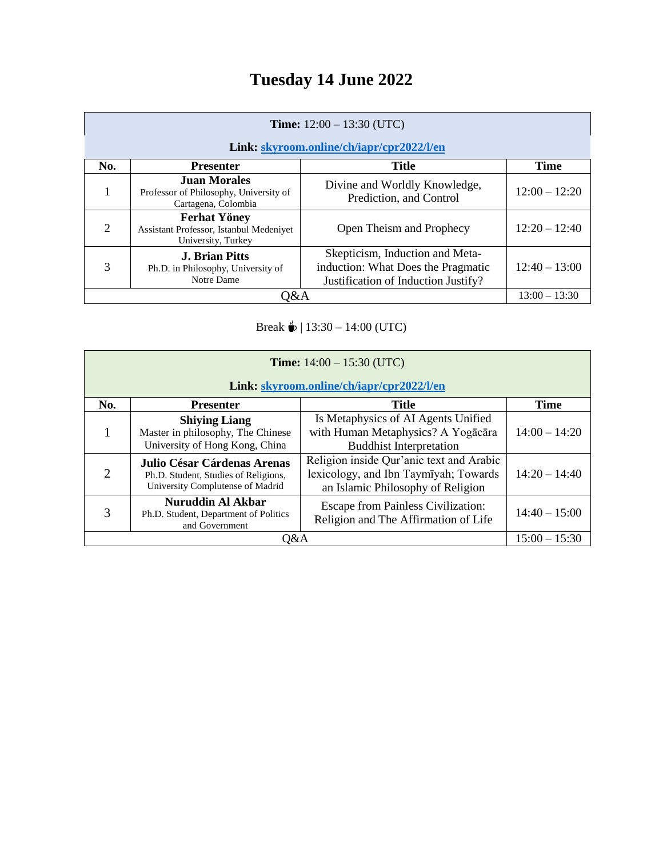## **Tuesday 14 June 2022**

| <b>Time:</b> $12:00 - 13:30$ (UTC)        |                                                                                      |                                                                                                              |                 |
|-------------------------------------------|--------------------------------------------------------------------------------------|--------------------------------------------------------------------------------------------------------------|-----------------|
| Link: skyroom.online/ch/iapr/cpr2022/l/en |                                                                                      |                                                                                                              |                 |
| No.                                       | <b>Presenter</b>                                                                     | <b>Title</b>                                                                                                 | <b>Time</b>     |
| 1                                         | <b>Juan Morales</b><br>Professor of Philosophy, University of<br>Cartagena, Colombia | Divine and Worldly Knowledge,<br>Prediction, and Control                                                     | $12:00 - 12:20$ |
| $\overline{2}$                            | <b>Ferhat Yöney</b><br>Assistant Professor, Istanbul Medeniyet<br>University, Turkey | Open Theism and Prophecy                                                                                     | $12:20 - 12:40$ |
| 3                                         | <b>J. Brian Pitts</b><br>Ph.D. in Philosophy, University of<br>Notre Dame            | Skepticism, Induction and Meta-<br>induction: What Does the Pragmatic<br>Justification of Induction Justify? | $12:40 - 13:00$ |
| 0&A                                       |                                                                                      |                                                                                                              | $13:00 - 13:30$ |

Break  $\stackrel{d}{\bullet}$  | 13:30 – 14:00 (UTC)

| <b>Time:</b> $14:00 - 15:30$ (UTC)<br>Link: skyroom.online/ch/iapr/cpr2022/l/en |                                                                                                         |                                                                                                                        |                 |
|---------------------------------------------------------------------------------|---------------------------------------------------------------------------------------------------------|------------------------------------------------------------------------------------------------------------------------|-----------------|
| No.                                                                             | <b>Presenter</b>                                                                                        | Title                                                                                                                  | <b>Time</b>     |
|                                                                                 | <b>Shiying Liang</b><br>Master in philosophy, The Chinese<br>University of Hong Kong, China             | Is Metaphysics of AI Agents Unified<br>with Human Metaphysics? A Yogacara<br><b>Buddhist Interpretation</b>            | $14:00 - 14:20$ |
| $\overline{2}$                                                                  | Julio César Cárdenas Arenas<br>Ph.D. Student, Studies of Religions,<br>University Complutense of Madrid | Religion inside Qur'anic text and Arabic<br>lexicology, and Ibn Taymīyah; Towards<br>an Islamic Philosophy of Religion | $14:20 - 14:40$ |
| 3                                                                               | <b>Nuruddin Al Akbar</b><br>Ph.D. Student, Department of Politics<br>and Government                     | <b>Escape from Painless Civilization:</b><br>Religion and The Affirmation of Life                                      | $14:40 - 15:00$ |
| O&A                                                                             |                                                                                                         |                                                                                                                        | $15:00 - 15:30$ |